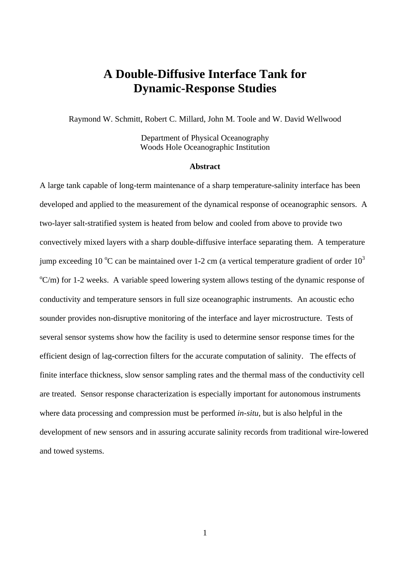# **A Double-Diffusive Interface Tank for Dynamic-Response Studies**

Raymond W. Schmitt, Robert C. Millard, John M. Toole and W. David Wellwood

Department of Physical Oceanography Woods Hole Oceanographic Institution

#### **Abstract**

A large tank capable of long-term maintenance of a sharp temperature-salinity interface has been developed and applied to the measurement of the dynamical response of oceanographic sensors. A two-layer salt-stratified system is heated from below and cooled from above to provide two convectively mixed layers with a sharp double-diffusive interface separating them. A temperature jump exceeding 10  $^{\circ}$ C can be maintained over 1-2 cm (a vertical temperature gradient of order 10<sup>3</sup>  $^{\circ}$ C/m) for 1-2 weeks. A variable speed lowering system allows testing of the dynamic response of conductivity and temperature sensors in full size oceanographic instruments. An acoustic echo sounder provides non-disruptive monitoring of the interface and layer microstructure. Tests of several sensor systems show how the facility is used to determine sensor response times for the efficient design of lag-correction filters for the accurate computation of salinity. The effects of finite interface thickness, slow sensor sampling rates and the thermal mass of the conductivity cell are treated. Sensor response characterization is especially important for autonomous instruments where data processing and compression must be performed *in-situ*, but is also helpful in the development of new sensors and in assuring accurate salinity records from traditional wire-lowered and towed systems.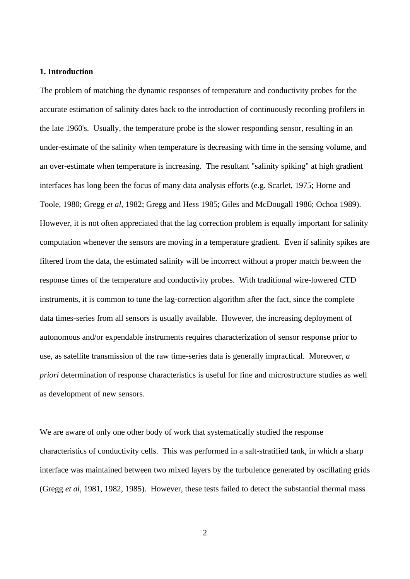# **1. Introduction**

The problem of matching the dynamic responses of temperature and conductivity probes for the accurate estimation of salinity dates back to the introduction of continuously recording profilers in the late 1960's. Usually, the temperature probe is the slower responding sensor, resulting in an under-estimate of the salinity when temperature is decreasing with time in the sensing volume, and an over-estimate when temperature is increasing. The resultant "salinity spiking" at high gradient interfaces has long been the focus of many data analysis efforts (e.g. Scarlet, 1975; Horne and Toole, 1980; Gregg *et al*, 1982; Gregg and Hess 1985; Giles and McDougall 1986; Ochoa 1989). However, it is not often appreciated that the lag correction problem is equally important for salinity computation whenever the sensors are moving in a temperature gradient. Even if salinity spikes are filtered from the data, the estimated salinity will be incorrect without a proper match between the response times of the temperature and conductivity probes. With traditional wire-lowered CTD instruments, it is common to tune the lag-correction algorithm after the fact, since the complete data times-series from all sensors is usually available. However, the increasing deployment of autonomous and/or expendable instruments requires characterization of sensor response prior to use, as satellite transmission of the raw time-series data is generally impractical. Moreover, *a priori* determination of response characteristics is useful for fine and microstructure studies as well as development of new sensors.

We are aware of only one other body of work that systematically studied the response characteristics of conductivity cells. This was performed in a salt-stratified tank, in which a sharp interface was maintained between two mixed layers by the turbulence generated by oscillating grids (Gregg *et al*, 1981, 1982, 1985). However, these tests failed to detect the substantial thermal mass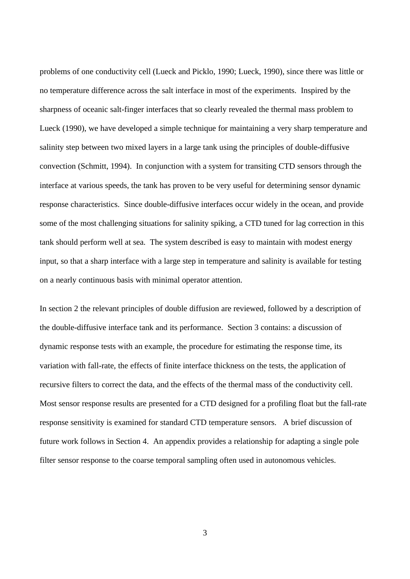problems of one conductivity cell (Lueck and Picklo, 1990; Lueck, 1990), since there was little or no temperature difference across the salt interface in most of the experiments. Inspired by the sharpness of oceanic salt-finger interfaces that so clearly revealed the thermal mass problem to Lueck (1990), we have developed a simple technique for maintaining a very sharp temperature and salinity step between two mixed layers in a large tank using the principles of double-diffusive convection (Schmitt, 1994). In conjunction with a system for transiting CTD sensors through the interface at various speeds, the tank has proven to be very useful for determining sensor dynamic response characteristics. Since double-diffusive interfaces occur widely in the ocean, and provide some of the most challenging situations for salinity spiking, a CTD tuned for lag correction in this tank should perform well at sea. The system described is easy to maintain with modest energy input, so that a sharp interface with a large step in temperature and salinity is available for testing on a nearly continuous basis with minimal operator attention.

In section 2 the relevant principles of double diffusion are reviewed, followed by a description of the double-diffusive interface tank and its performance. Section 3 contains: a discussion of dynamic response tests with an example, the procedure for estimating the response time, its variation with fall-rate, the effects of finite interface thickness on the tests, the application of recursive filters to correct the data, and the effects of the thermal mass of the conductivity cell. Most sensor response results are presented for a CTD designed for a profiling float but the fall-rate response sensitivity is examined for standard CTD temperature sensors. A brief discussion of future work follows in Section 4. An appendix provides a relationship for adapting a single pole filter sensor response to the coarse temporal sampling often used in autonomous vehicles.

3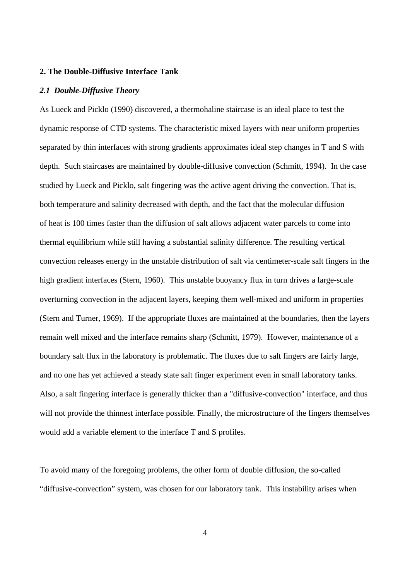# **2. The Double-Diffusive Interface Tank**

#### *2.1 Double-Diffusive Theory*

As Lueck and Picklo (1990) discovered, a thermohaline staircase is an ideal place to test the dynamic response of CTD systems. The characteristic mixed layers with near uniform properties separated by thin interfaces with strong gradients approximates ideal step changes in T and S with depth. Such staircases are maintained by double-diffusive convection (Schmitt, 1994). In the case studied by Lueck and Picklo, salt fingering was the active agent driving the convection. That is, both temperature and salinity decreased with depth, and the fact that the molecular diffusion of heat is 100 times faster than the diffusion of salt allows adjacent water parcels to come into thermal equilibrium while still having a substantial salinity difference. The resulting vertical convection releases energy in the unstable distribution of salt via centimeter-scale salt fingers in the high gradient interfaces (Stern, 1960). This unstable buoyancy flux in turn drives a large-scale overturning convection in the adjacent layers, keeping them well-mixed and uniform in properties (Stern and Turner, 1969). If the appropriate fluxes are maintained at the boundaries, then the layers remain well mixed and the interface remains sharp (Schmitt, 1979). However, maintenance of a boundary salt flux in the laboratory is problematic. The fluxes due to salt fingers are fairly large, and no one has yet achieved a steady state salt finger experiment even in small laboratory tanks. Also, a salt fingering interface is generally thicker than a "diffusive-convection" interface, and thus will not provide the thinnest interface possible. Finally, the microstructure of the fingers themselves would add a variable element to the interface T and S profiles.

To avoid many of the foregoing problems, the other form of double diffusion, the so-called "diffusive-convection" system, was chosen for our laboratory tank. This instability arises when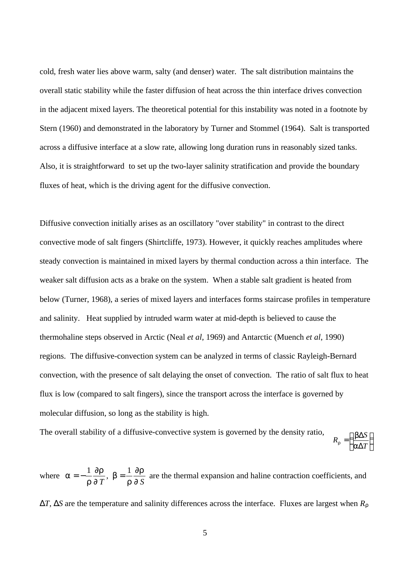cold, fresh water lies above warm, salty (and denser) water. The salt distribution maintains the overall static stability while the faster diffusion of heat across the thin interface drives convection in the adjacent mixed layers. The theoretical potential for this instability was noted in a footnote by Stern (1960) and demonstrated in the laboratory by Turner and Stommel (1964). Salt is transported across a diffusive interface at a slow rate, allowing long duration runs in reasonably sized tanks. Also, it is straightforward to set up the two-layer salinity stratification and provide the boundary fluxes of heat, which is the driving agent for the diffusive convection.

Diffusive convection initially arises as an oscillatory "over stability" in contrast to the direct convective mode of salt fingers (Shirtcliffe, 1973). However, it quickly reaches amplitudes where steady convection is maintained in mixed layers by thermal conduction across a thin interface. The weaker salt diffusion acts as a brake on the system. When a stable salt gradient is heated from below (Turner, 1968), a series of mixed layers and interfaces forms staircase profiles in temperature and salinity. Heat supplied by intruded warm water at mid-depth is believed to cause the thermohaline steps observed in Arctic (Neal *et al*, 1969) and Antarctic (Muench *et al*, 1990) regions. The diffusive-convection system can be analyzed in terms of classic Rayleigh-Bernard convection, with the presence of salt delaying the onset of convection. The ratio of salt flux to heat flux is low (compared to salt fingers), since the transport across the interface is governed by molecular diffusion, so long as the stability is high.

The overall stability of a diffusive-convective system is governed by the density ratio,  $\overline{1}$  $\left(\frac{b\Delta S}{\Delta E}\right)^{3}$ l ſ Δ  $=\int \frac{b\Delta}{a}$ *T*  $R_{\rm r} = \frac{b \Delta S}{\Delta R}$ *a b r*

where *a r ¶r ¶ b r ¶r ¶*  $=-\frac{1}{\sqrt{2\pi}}\sqrt{h}$ , b  $=\frac{1}{\sqrt{2\pi}}$  $T$   $\qquad$   $\Gamma$   $\P S$ ,  $b = \frac{1}{n}$  are the thermal expansion and haline contraction coefficients, and Δ*T*, Δ*S* are the temperature and salinity differences across the interface. Fluxes are largest when *R<sup>r</sup>*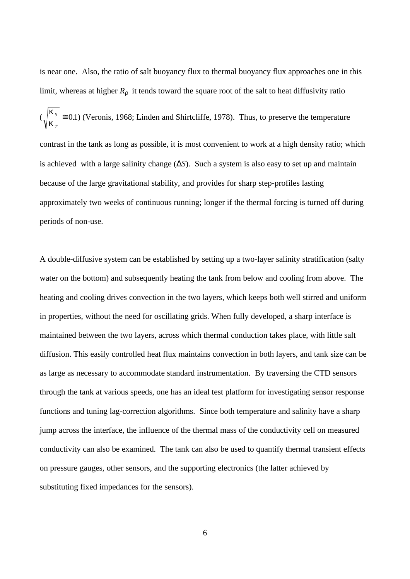is near one. Also, the ratio of salt buoyancy flux to thermal buoyancy flux approaches one in this limit, whereas at higher  $R_r$  it tends toward the square root of the salt to heat diffusivity ratio ( *k k S T*  $\approx$  0.1) (Veronis, 1968; Linden and Shirtcliffe, 1978). Thus, to preserve the temperature contrast in the tank as long as possible, it is most convenient to work at a high density ratio; which is achieved with a large salinity change (Δ*S*). Such a system is also easy to set up and maintain because of the large gravitational stability, and provides for sharp step-profiles lasting approximately two weeks of continuous running; longer if the thermal forcing is turned off during periods of non-use.

A double-diffusive system can be established by setting up a two-layer salinity stratification (salty water on the bottom) and subsequently heating the tank from below and cooling from above. The heating and cooling drives convection in the two layers, which keeps both well stirred and uniform in properties, without the need for oscillating grids. When fully developed, a sharp interface is maintained between the two layers, across which thermal conduction takes place, with little salt diffusion. This easily controlled heat flux maintains convection in both layers, and tank size can be as large as necessary to accommodate standard instrumentation. By traversing the CTD sensors through the tank at various speeds, one has an ideal test platform for investigating sensor response functions and tuning lag-correction algorithms. Since both temperature and salinity have a sharp jump across the interface, the influence of the thermal mass of the conductivity cell on measured conductivity can also be examined. The tank can also be used to quantify thermal transient effects on pressure gauges, other sensors, and the supporting electronics (the latter achieved by substituting fixed impedances for the sensors).

6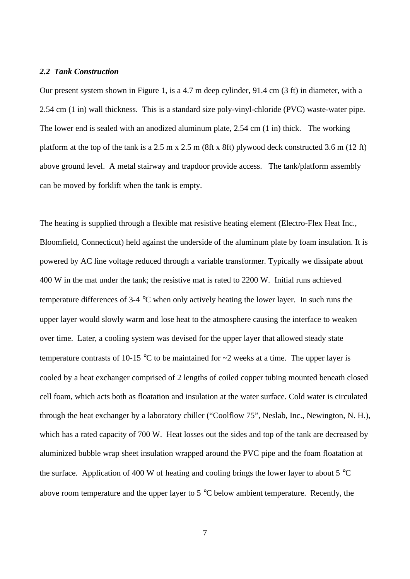#### *2.2 Tank Construction*

Our present system shown in Figure 1, is a 4.7 m deep cylinder, 91.4 cm (3 ft) in diameter, with a 2.54 cm (1 in) wall thickness. This is a standard size poly-vinyl-chloride (PVC) waste-water pipe. The lower end is sealed with an anodized aluminum plate, 2.54 cm (1 in) thick. The working platform at the top of the tank is a 2.5 m x 2.5 m (8ft x 8ft) plywood deck constructed 3.6 m (12 ft) above ground level. A metal stairway and trapdoor provide access. The tank/platform assembly can be moved by forklift when the tank is empty.

The heating is supplied through a flexible mat resistive heating element (Electro-Flex Heat Inc., Bloomfield, Connecticut) held against the underside of the aluminum plate by foam insulation. It is powered by AC line voltage reduced through a variable transformer. Typically we dissipate about 400 W in the mat under the tank; the resistive mat is rated to 2200 W. Initial runs achieved temperature differences of 3-4 °C when only actively heating the lower layer. In such runs the upper layer would slowly warm and lose heat to the atmosphere causing the interface to weaken over time. Later, a cooling system was devised for the upper layer that allowed steady state temperature contrasts of 10-15  $\degree$ C to be maintained for  $\sim$ 2 weeks at a time. The upper layer is cooled by a heat exchanger comprised of 2 lengths of coiled copper tubing mounted beneath closed cell foam, which acts both as floatation and insulation at the water surface. Cold water is circulated through the heat exchanger by a laboratory chiller ("Coolflow 75", Neslab, Inc., Newington, N. H.), which has a rated capacity of 700 W. Heat losses out the sides and top of the tank are decreased by aluminized bubble wrap sheet insulation wrapped around the PVC pipe and the foam floatation at the surface. Application of 400 W of heating and cooling brings the lower layer to about  $5^{\circ}$ C above room temperature and the upper layer to 5  $^{\circ}$ C below ambient temperature. Recently, the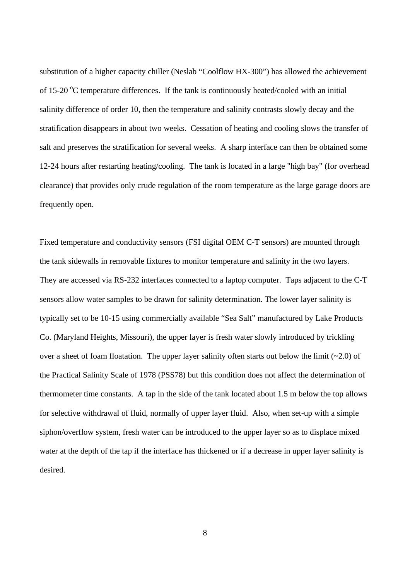substitution of a higher capacity chiller (Neslab "Coolflow HX-300") has allowed the achievement of 15-20  $\rm{^{\circ}C}$  temperature differences. If the tank is continuously heated/cooled with an initial salinity difference of order 10, then the temperature and salinity contrasts slowly decay and the stratification disappears in about two weeks. Cessation of heating and cooling slows the transfer of salt and preserves the stratification for several weeks. A sharp interface can then be obtained some 12-24 hours after restarting heating/cooling. The tank is located in a large "high bay" (for overhead clearance) that provides only crude regulation of the room temperature as the large garage doors are frequently open.

Fixed temperature and conductivity sensors (FSI digital OEM C-T sensors) are mounted through the tank sidewalls in removable fixtures to monitor temperature and salinity in the two layers. They are accessed via RS-232 interfaces connected to a laptop computer. Taps adjacent to the C-T sensors allow water samples to be drawn for salinity determination. The lower layer salinity is typically set to be 10-15 using commercially available "Sea Salt" manufactured by Lake Products Co. (Maryland Heights, Missouri), the upper layer is fresh water slowly introduced by trickling over a sheet of foam floatation. The upper layer salinity often starts out below the limit  $(-2.0)$  of the Practical Salinity Scale of 1978 (PSS78) but this condition does not affect the determination of thermometer time constants. A tap in the side of the tank located about 1.5 m below the top allows for selective withdrawal of fluid, normally of upper layer fluid. Also, when set-up with a simple siphon/overflow system, fresh water can be introduced to the upper layer so as to displace mixed water at the depth of the tap if the interface has thickened or if a decrease in upper layer salinity is desired.

8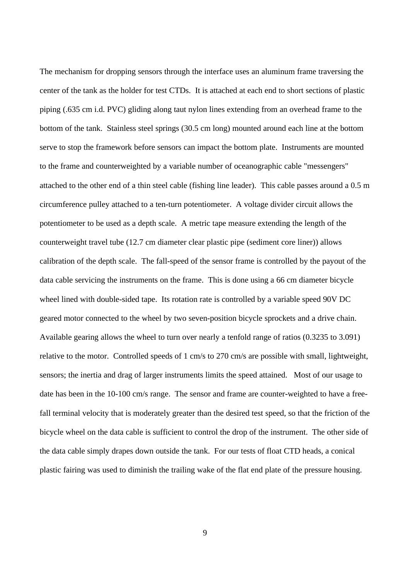The mechanism for dropping sensors through the interface uses an aluminum frame traversing the center of the tank as the holder for test CTDs. It is attached at each end to short sections of plastic piping (.635 cm i.d. PVC) gliding along taut nylon lines extending from an overhead frame to the bottom of the tank. Stainless steel springs (30.5 cm long) mounted around each line at the bottom serve to stop the framework before sensors can impact the bottom plate. Instruments are mounted to the frame and counterweighted by a variable number of oceanographic cable "messengers" attached to the other end of a thin steel cable (fishing line leader). This cable passes around a 0.5 m circumference pulley attached to a ten-turn potentiometer. A voltage divider circuit allows the potentiometer to be used as a depth scale. A metric tape measure extending the length of the counterweight travel tube (12.7 cm diameter clear plastic pipe (sediment core liner)) allows calibration of the depth scale. The fall-speed of the sensor frame is controlled by the payout of the data cable servicing the instruments on the frame. This is done using a 66 cm diameter bicycle wheel lined with double-sided tape. Its rotation rate is controlled by a variable speed 90V DC geared motor connected to the wheel by two seven-position bicycle sprockets and a drive chain. Available gearing allows the wheel to turn over nearly a tenfold range of ratios (0.3235 to 3.091) relative to the motor. Controlled speeds of 1 cm/s to 270 cm/s are possible with small, lightweight, sensors; the inertia and drag of larger instruments limits the speed attained. Most of our usage to date has been in the 10-100 cm/s range. The sensor and frame are counter-weighted to have a freefall terminal velocity that is moderately greater than the desired test speed, so that the friction of the bicycle wheel on the data cable is sufficient to control the drop of the instrument. The other side of the data cable simply drapes down outside the tank. For our tests of float CTD heads, a conical plastic fairing was used to diminish the trailing wake of the flat end plate of the pressure housing.

9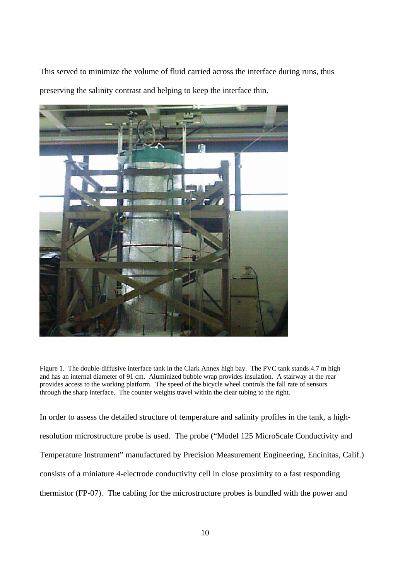This served to minimize the volume of fluid carried across the interface during runs, thus preserving the salinity contrast and helping to keep the interface thin.



Figure 1. The double-diffusive interface tank in the Clark Annex high bay. The PVC tank stands 4.7 m high and has an internal diameter of 91 cm. Aluminized bubble wrap provides insulation. A stairway at the rear provides access to the working platform. The speed of the bicycle wheel controls the fall rate of sensors through the sharp interface. The counter weights travel within the clear tubing to the right.

In order to assess the detailed structure of temperature and salinity profiles in the tank, a highresolution microstructure probe is used. The probe ("Model 125 MicroScale Conductivity and Temperature Instrument" manufactured by Precision Measurement Engineering, Encinitas, Calif.) consists of a miniature 4-electrode conductivity cell in close proximity to a fast responding thermistor (FP-07). The cabling for the microstructure probes is bundled with the power and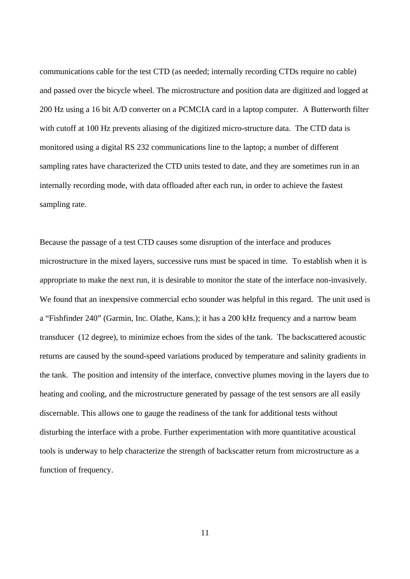communications cable for the test CTD (as needed; internally recording CTDs require no cable) and passed over the bicycle wheel. The microstructure and position data are digitized and logged at 200 Hz using a 16 bit A/D converter on a PCMCIA card in a laptop computer. A Butterworth filter with cutoff at 100 Hz prevents aliasing of the digitized micro-structure data. The CTD data is monitored using a digital RS 232 communications line to the laptop; a number of different sampling rates have characterized the CTD units tested to date, and they are sometimes run in an internally recording mode, with data offloaded after each run, in order to achieve the fastest sampling rate.

Because the passage of a test CTD causes some disruption of the interface and produces microstructure in the mixed layers, successive runs must be spaced in time. To establish when it is appropriate to make the next run, it is desirable to monitor the state of the interface non-invasively. We found that an inexpensive commercial echo sounder was helpful in this regard. The unit used is a "Fishfinder 240" (Garmin, Inc. Olathe, Kans.); it has a 200 kHz frequency and a narrow beam transducer (12 degree), to minimize echoes from the sides of the tank. The backscattered acoustic returns are caused by the sound-speed variations produced by temperature and salinity gradients in the tank. The position and intensity of the interface, convective plumes moving in the layers due to heating and cooling, and the microstructure generated by passage of the test sensors are all easily discernable. This allows one to gauge the readiness of the tank for additional tests without disturbing the interface with a probe. Further experimentation with more quantitative acoustical tools is underway to help characterize the strength of backscatter return from microstructure as a function of frequency.

11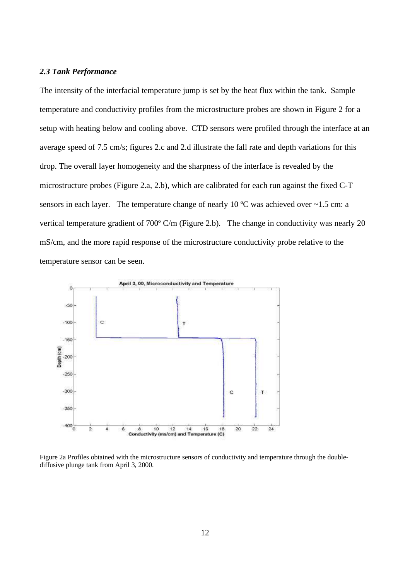#### *2.3 Tank Performance*

The intensity of the interfacial temperature jump is set by the heat flux within the tank. Sample temperature and conductivity profiles from the microstructure probes are shown in Figure 2 for a setup with heating below and cooling above. CTD sensors were profiled through the interface at an average speed of 7.5 cm/s; figures 2.c and 2.d illustrate the fall rate and depth variations for this drop. The overall layer homogeneity and the sharpness of the interface is revealed by the microstructure probes (Figure 2.a, 2.b), which are calibrated for each run against the fixed C-T sensors in each layer. The temperature change of nearly 10  $^{\circ}$ C was achieved over  $\sim$ 1.5 cm: a vertical temperature gradient of 700º C/m (Figure 2.b). The change in conductivity was nearly 20 mS/cm, and the more rapid response of the microstructure conductivity probe relative to the temperature sensor can be seen.



Figure 2a Profiles obtained with the microstructure sensors of conductivity and temperature through the doublediffusive plunge tank from April 3, 2000.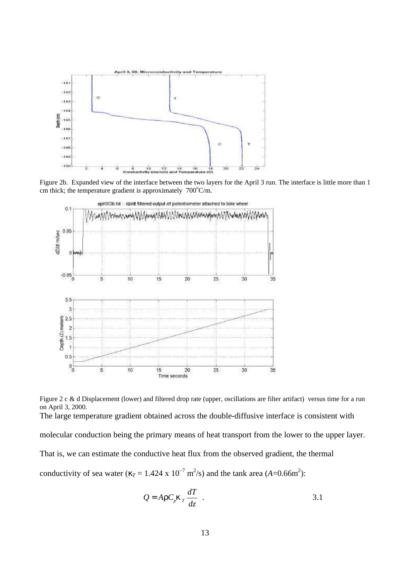

Figure 2b. Expanded view of the interface between the two layers for the April 3 run. The interface is little more than 1 cm thick; the temperature gradient is approximately  $700^{\circ}$ C/m.



Figure 2 c & d Displacement (lower) and filtered drop rate (upper, oscillations are filter artifact) versus time for a run on April 3, 2000. The large temperature gradient obtained across the double-diffusive interface is consistent with molecular conduction being the primary means of heat transport from the lower to the upper layer. That is, we can estimate the conductive heat flux from the observed gradient, the thermal conductivity of sea water ( $k_T = 1.424 \times 10^{-7} \text{ m}^2/\text{s}$ ) and the tank area ( $A = 0.66 \text{ m}^2$ ):

$$
Q = Ar C_p k_T \frac{dT}{dz} .
$$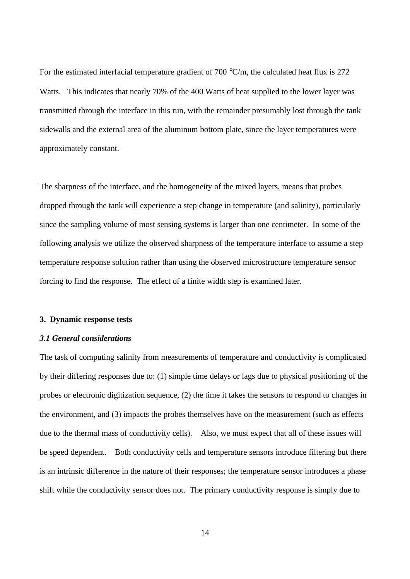For the estimated interfacial temperature gradient of 700 °C/m, the calculated heat flux is 272 Watts. This indicates that nearly 70% of the 400 Watts of heat supplied to the lower layer was transmitted through the interface in this run, with the remainder presumably lost through the tank sidewalls and the external area of the aluminum bottom plate, since the layer temperatures were approximately constant.

The sharpness of the interface, and the homogeneity of the mixed layers, means that probes dropped through the tank will experience a step change in temperature (and salinity), particularly since the sampling volume of most sensing systems is larger than one centimeter. In some of the following analysis we utilize the observed sharpness of the temperature interface to assume a step temperature response solution rather than using the observed microstructure temperature sensor forcing to find the response. The effect of a finite width step is examined later.

## **3. Dynamic response tests**

# *3.1 General considerations*

The task of computing salinity from measurements of temperature and conductivity is complicated by their differing responses due to: (1) simple time delays or lags due to physical positioning of the probes or electronic digitization sequence, (2) the time it takes the sensors to respond to changes in the environment, and (3) impacts the probes themselves have on the measurement (such as effects due to the thermal mass of conductivity cells). Also, we must expect that all of these issues will be speed dependent. Both conductivity cells and temperature sensors introduce filtering but there is an intrinsic difference in the nature of their responses; the temperature sensor introduces a phase shift while the conductivity sensor does not. The primary conductivity response is simply due to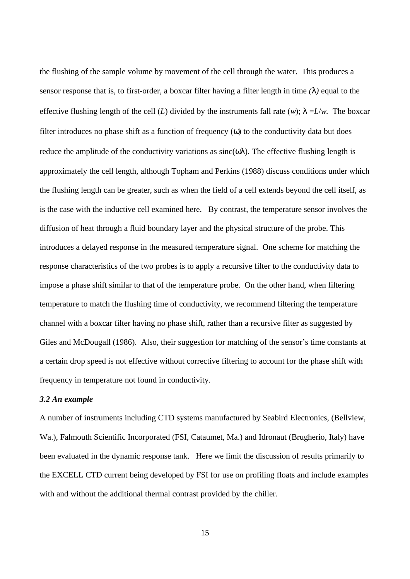the flushing of the sample volume by movement of the cell through the water. This produces a sensor response that is, to first-order, a boxcar filter having a filter length in time *(l )* equal to the effective flushing length of the cell (*L*) divided by the instruments fall rate (*w*);  $\vert$  =*L*/*w*. The boxcar filter introduces no phase shift as a function of frequency (*w*) to the conductivity data but does reduce the amplitude of the conductivity variations as sinc(*wl* ). The effective flushing length is approximately the cell length, although Topham and Perkins (1988) discuss conditions under which the flushing length can be greater, such as when the field of a cell extends beyond the cell itself, as is the case with the inductive cell examined here. By contrast, the temperature sensor involves the diffusion of heat through a fluid boundary layer and the physical structure of the probe. This introduces a delayed response in the measured temperature signal. One scheme for matching the response characteristics of the two probes is to apply a recursive filter to the conductivity data to impose a phase shift similar to that of the temperature probe. On the other hand, when filtering temperature to match the flushing time of conductivity, we recommend filtering the temperature channel with a boxcar filter having no phase shift, rather than a recursive filter as suggested by Giles and McDougall (1986). Also, their suggestion for matching of the sensor's time constants at a certain drop speed is not effective without corrective filtering to account for the phase shift with frequency in temperature not found in conductivity.

#### *3.2 An example*

A number of instruments including CTD systems manufactured by Seabird Electronics, (Bellview, Wa.), Falmouth Scientific Incorporated (FSI, Cataumet, Ma.) and Idronaut (Brugherio, Italy) have been evaluated in the dynamic response tank. Here we limit the discussion of results primarily to the EXCELL CTD current being developed by FSI for use on profiling floats and include examples with and without the additional thermal contrast provided by the chiller.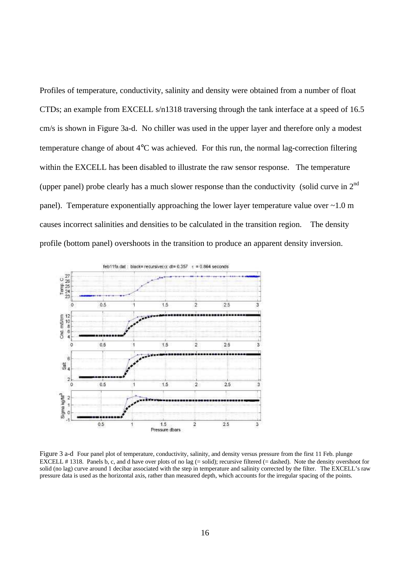Profiles of temperature, conductivity, salinity and density were obtained from a number of float CTDs; an example from EXCELL s/n1318 traversing through the tank interface at a speed of 16.5 cm/s is shown in Figure 3a-d. No chiller was used in the upper layer and therefore only a modest temperature change of about 4°C was achieved. For this run, the normal lag-correction filtering within the EXCELL has been disabled to illustrate the raw sensor response. The temperature (upper panel) probe clearly has a much slower response than the conductivity (solid curve in  $2<sup>nd</sup>$ panel). Temperature exponentially approaching the lower layer temperature value over ~1.0 m causes incorrect salinities and densities to be calculated in the transition region. The density profile (bottom panel) overshoots in the transition to produce an apparent density inversion.



Figure 3 a-d Four panel plot of temperature, conductivity, salinity, and density versus pressure from the first 11 Feb. plunge EXCELL # 1318. Panels b, c, and d have over plots of no lag (= solid); recursive filtered (= dashed). Note the density overshoot for solid (no lag) curve around 1 decibar associated with the step in temperature and salinity corrected by the filter. The EXCELL's raw pressure data is used as the horizontal axis, rather than measured depth, which accounts for the irregular spacing of the points.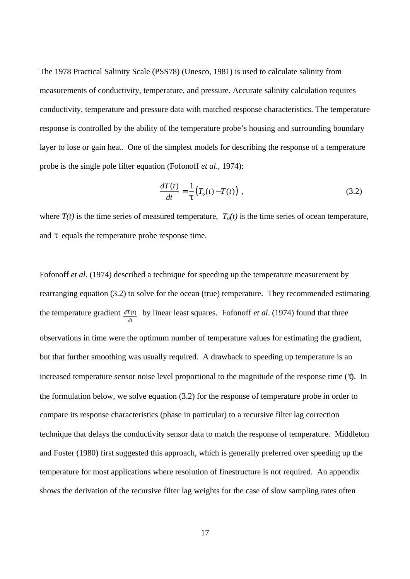The 1978 Practical Salinity Scale (PSS78) (Unesco, 1981) is used to calculate salinity from measurements of conductivity, temperature, and pressure. Accurate salinity calculation requires conductivity, temperature and pressure data with matched response characteristics. The temperature response is controlled by the ability of the temperature probe's housing and surrounding boundary layer to lose or gain heat. One of the simplest models for describing the response of a temperature probe is the single pole filter equation (Fofonoff *et al*., 1974):

$$
\frac{dT(t)}{dt} = \frac{1}{t} (T_o(t) - T(t)),
$$
\n(3.2)

where  $T(t)$  is the time series of measured temperature,  $T<sub>o</sub>(t)$  is the time series of ocean temperature, and *t* equals the temperature probe response time.

Fofonoff *et al*. (1974) described a technique for speeding up the temperature measurement by rearranging equation (3.2) to solve for the ocean (true) temperature. They recommended estimating the temperature gradient *dT*(*t*) *dt* by linear least squares. Fofonoff *et al*. (1974) found that three observations in time were the optimum number of temperature values for estimating the gradient, but that further smoothing was usually required. A drawback to speeding up temperature is an increased temperature sensor noise level proportional to the magnitude of the response time (*t*). In the formulation below, we solve equation  $(3.2)$  for the response of temperature probe in order to compare its response characteristics (phase in particular) to a recursive filter lag correction technique that delays the conductivity sensor data to match the response of temperature. Middleton and Foster (1980) first suggested this approach, which is generally preferred over speeding up the temperature for most applications where resolution of finestructure is not required. An appendix shows the derivation of the recursive filter lag weights for the case of slow sampling rates often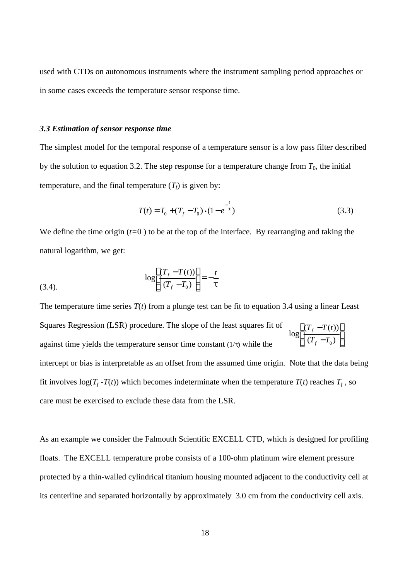used with CTDs on autonomous instruments where the instrument sampling period approaches or in some cases exceeds the temperature sensor response time.

#### *3.3 Estimation of sensor response time*

The simplest model for the temporal response of a temperature sensor is a low pass filter described by the solution to equation 3.2. The step response for a temperature change from  $T_0$ , the initial temperature, and the final temperature  $(T_f)$  is given by:

$$
T(t) = T_0 + (T_f - T_0) \cdot (1 - e^{-\frac{t}{t}})
$$
\n(3.3)

We define the time origin  $(t=0)$  to be at the top of the interface. By rearranging and taking the natural logarithm, we get:

(3.4). 
$$
\log \left[ \frac{(T_f - T(t))}{(T_f - T_0)} \right] = -\frac{t}{t}
$$

The temperature time series  $T(t)$  from a plunge test can be fit to equation 3.4 using a linear Least Squares Regression (LSR) procedure. The slope of the least squares fit of against time yields the temperature sensor time constant (1/*t*) while the intercept or bias is interpretable as an offset from the assumed time origin. Note that the data being fit involves  $log(T_f - T(t))$  which becomes indeterminate when the temperature  $T(t)$  reaches  $T_f$ , so care must be exercised to exclude these data from the LSR.  $\overline{\phantom{a}}$  $\overline{\phantom{a}}$ J  $\overline{\phantom{a}}$ L L L L − −  $(T_{f} - T_{0})$  $(T_f - T(t))$ log  $T_{f} - T_{0}$  $T_f - T(t)$ *f f*

As an example we consider the Falmouth Scientific EXCELL CTD, which is designed for profiling floats. The EXCELL temperature probe consists of a 100-ohm platinum wire element pressure protected by a thin-walled cylindrical titanium housing mounted adjacent to the conductivity cell at its centerline and separated horizontally by approximately 3.0 cm from the conductivity cell axis.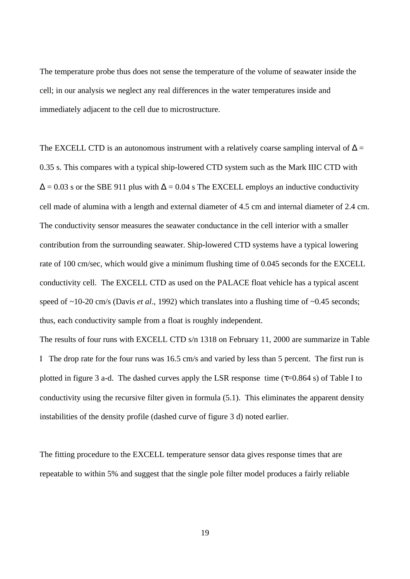The temperature probe thus does not sense the temperature of the volume of seawater inside the cell; in our analysis we neglect any real differences in the water temperatures inside and immediately adjacent to the cell due to microstructure.

The EXCELL CTD is an autonomous instrument with a relatively coarse sampling interval of  $\Delta =$ 0.35 s. This compares with a typical ship-lowered CTD system such as the Mark IIIC CTD with  $\Delta = 0.03$  s or the SBE 911 plus with  $\Delta = 0.04$  s The EXCELL employs an inductive conductivity cell made of alumina with a length and external diameter of 4.5 cm and internal diameter of 2.4 cm. The conductivity sensor measures the seawater conductance in the cell interior with a smaller contribution from the surrounding seawater. Ship-lowered CTD systems have a typical lowering rate of 100 cm/sec, which would give a minimum flushing time of 0.045 seconds for the EXCELL conductivity cell. The EXCELL CTD as used on the PALACE float vehicle has a typical ascent speed of ~10-20 cm/s (Davis *et al.*, 1992) which translates into a flushing time of ~0.45 seconds; thus, each conductivity sample from a float is roughly independent.

The results of four runs with EXCELL CTD s/n 1318 on February 11, 2000 are summarize in Table I The drop rate for the four runs was 16.5 cm/s and varied by less than 5 percent. The first run is plotted in figure 3 a-d. The dashed curves apply the LSR response time (*t*=0.864 s) of Table I to conductivity using the recursive filter given in formula (5.1). This eliminates the apparent density instabilities of the density profile (dashed curve of figure 3 d) noted earlier.

The fitting procedure to the EXCELL temperature sensor data gives response times that are repeatable to within 5% and suggest that the single pole filter model produces a fairly reliable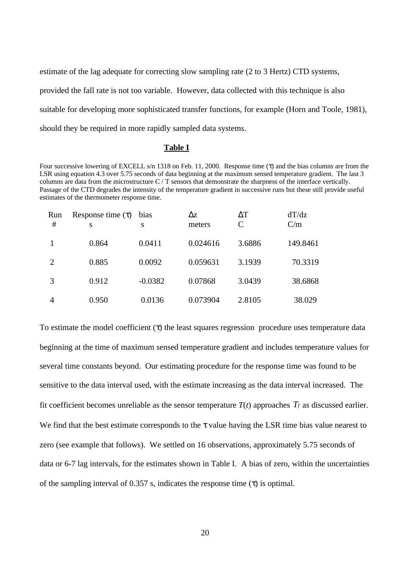estimate of the lag adequate for correcting slow sampling rate (2 to 3 Hertz) CTD systems, provided the fall rate is not too variable. However, data collected with this technique is also suitable for developing more sophisticated transfer functions, for example (Horn and Toole, 1981), should they be required in more rapidly sampled data systems.

# **Table I**

Four successive lowering of EXCELL s/n 1318 on Feb. 11, 2000. Response time (τ) and the bias columns are from the LSR using equation 4.3 over 5.75 seconds of data beginning at the maximum sensed temperature gradient. The last 3 columns are data from the microstructure  $C/T$  sensors that demonstrate the sharpness of the interface vertically. Passage of the CTD degrades the intensity of the temperature gradient in successive runs but these still provide useful estimates of the thermometer response time.

| Run<br># | Response time $(\tau)$<br>S | bias<br>S | $\Delta z$<br>meters | $\Delta T$<br>$\mathcal{C}$ | dT/dz<br>C/m |
|----------|-----------------------------|-----------|----------------------|-----------------------------|--------------|
|          | 0.864                       | 0.0411    | 0.024616             | 3.6886                      | 149.8461     |
| 2        | 0.885                       | 0.0092    | 0.059631             | 3.1939                      | 70.3319      |
| 3        | 0.912                       | $-0.0382$ | 0.07868              | 3.0439                      | 38.6868      |
| 4        | 0.950                       | 0.0136    | 0.073904             | 2.8105                      | 38.029       |

To estimate the model coefficient (*t*) the least squares regression procedure uses temperature data beginning at the time of maximum sensed temperature gradient and includes temperature values for several time constants beyond. Our estimating procedure for the response time was found to be sensitive to the data interval used, with the estimate increasing as the data interval increased. The fit coefficient becomes unreliable as the sensor temperature  $T(t)$  approaches  $T_f$  as discussed earlier. We find that the best estimate corresponds to the *t* value having the LSR time bias value nearest to zero (see example that follows). We settled on 16 observations, approximately 5.75 seconds of data or 6-7 lag intervals, for the estimates shown in Table I. A bias of zero, within the uncertainties of the sampling interval of 0.357 s, indicates the response time (*t*) is optimal.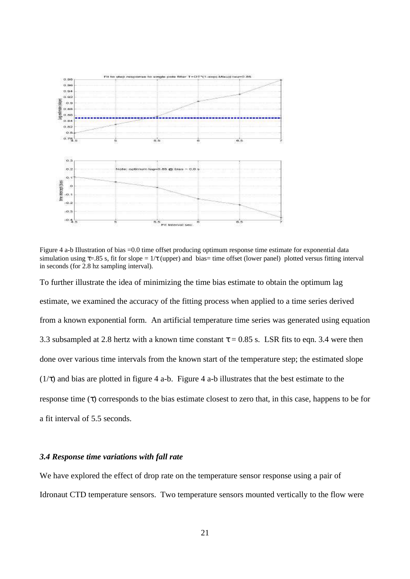

Figure 4 a-b Illustration of bias =0.0 time offset producing optimum response time estimate for exponential data simulation using *t*=.85 s, fit for slope = 1/*t* (upper) and bias= time offset (lower panel) plotted versus fitting interval in seconds (for 2.8 hz sampling interval).

To further illustrate the idea of minimizing the time bias estimate to obtain the optimum lag estimate, we examined the accuracy of the fitting process when applied to a time series derived from a known exponential form. An artificial temperature time series was generated using equation 3.3 subsampled at 2.8 hertz with a known time constant *t* = 0.85 s. LSR fits to eqn. 3.4 were then done over various time intervals from the known start of the temperature step; the estimated slope (1/*t*) and bias are plotted in figure 4 a-b. Figure 4 a-b illustrates that the best estimate to the response time (*t*) corresponds to the bias estimate closest to zero that, in this case, happens to be for a fit interval of 5.5 seconds.

## *3.4 Response time variations with fall rate*

We have explored the effect of drop rate on the temperature sensor response using a pair of Idronaut CTD temperature sensors. Two temperature sensors mounted vertically to the flow were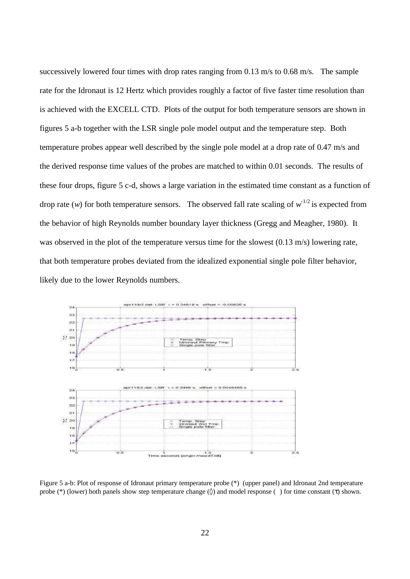successively lowered four times with drop rates ranging from 0.13 m/s to 0.68 m/s. The sample rate for the Idronaut is 12 Hertz which provides roughly a factor of five faster time resolution than is achieved with the EXCELL CTD. Plots of the output for both temperature sensors are shown in figures 5 a-b together with the LSR single pole model output and the temperature step. Both temperature probes appear well described by the single pole model at a drop rate of 0.47 m/s and the derived response time values of the probes are matched to within 0.01 seconds. The results of these four drops, figure 5 c-d, shows a large variation in the estimated time constant as a function of drop rate  $(w)$  for both temperature sensors. The observed fall rate scaling of  $w^{-1/2}$  is expected from the behavior of high Reynolds number boundary layer thickness (Gregg and Meagher, 1980). It was observed in the plot of the temperature versus time for the slowest (0.13 m/s) lowering rate, that both temperature probes deviated from the idealized exponential single pole filter behavior, likely due to the lower Reynolds numbers.



Figure 5 a-b: Plot of response of Idronaut primary temperature probe (\*) (upper panel) and Idronaut 2nd temperature probe (\*) (lower) both panels show step temperature change (◊) and model response ( ) for time constant (*t*) shown.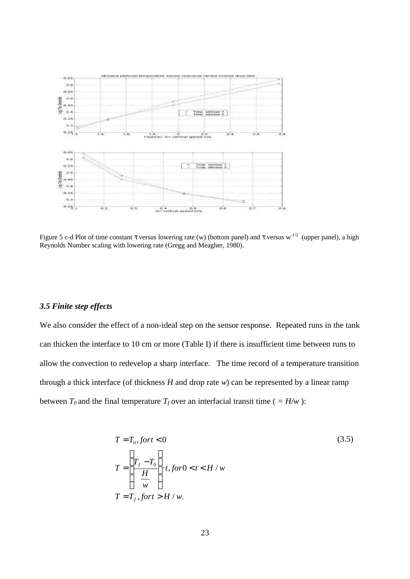

Figure 5 c-d Plot of time constant *t* versus lowering rate (w) (bottom panel) and *t* versus w<sup>-1/2</sup> (upper panel), a high Reynolds Number scaling with lowering rate (Gregg and Meagher, 1980).

## *3.5 Finite step effects*

We also consider the effect of a non-ideal step on the sensor response. Repeated runs in the tank can thicken the interface to 10 cm or more (Table I) if there is insufficient time between runs to allow the convection to redevelop a sharp interface. The time record of a temperature transition through a thick interface (of thickness *H* and drop rate *w*) can be represented by a linear ramp between  $T_0$  and the final temperature  $T_f$  over an interfacial transit time ( $= H/w$ ):

$$
T = T_0, fort < 0
$$
\n
$$
T = \left[ \frac{T_f - T_0}{\frac{H}{w}} \right] \cdot t, for 0 < t < H/w
$$
\n
$$
T = T_f, fort > H/w.
$$
\n(3.5)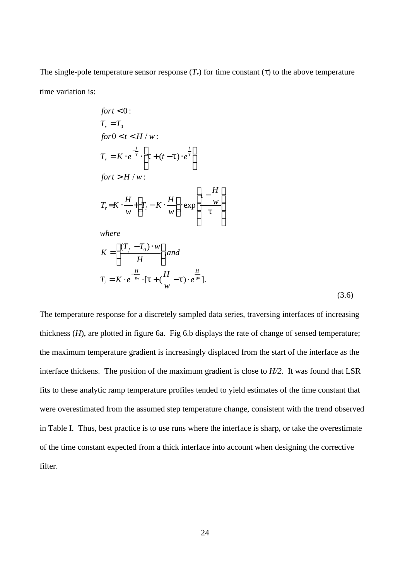The single-pole temperature sensor response  $(T_r)$  for time constant (*t*) to the above temperature time variation is:

$$
fort < 0:
$$
\n
$$
T_r = T_0
$$
\n
$$
for 0 < t < H / w:
$$
\n
$$
T_r = K \cdot e^{-\frac{t}{t}} \cdot \left[ t + (t - t) \cdot e^{\frac{t}{t}} \right]
$$
\n
$$
fort > H / w:
$$
\n
$$
T_r = K \cdot \frac{H}{w} + \left[ T_i - K \cdot \frac{H}{w} \right] \cdot \exp\left[ \frac{t - \frac{H}{w}}{t} \right]
$$

*where*

$$
K = \left[\frac{(T_f - T_0) \cdot w}{H}\right], and
$$
  
\n
$$
T_i = K \cdot e^{-\frac{H}{tw}} \cdot [t + (\frac{H}{w} - t) \cdot e^{\frac{H}{tw}}].
$$
\n(3.6)

The temperature response for a discretely sampled data series, traversing interfaces of increasing thickness (*H*), are plotted in figure 6a. Fig 6.b displays the rate of change of sensed temperature; the maximum temperature gradient is increasingly displaced from the start of the interface as the interface thickens. The position of the maximum gradient is close to *H/2*. It was found that LSR fits to these analytic ramp temperature profiles tended to yield estimates of the time constant that were overestimated from the assumed step temperature change, consistent with the trend observed in Table I. Thus, best practice is to use runs where the interface is sharp, or take the overestimate of the time constant expected from a thick interface into account when designing the corrective filter.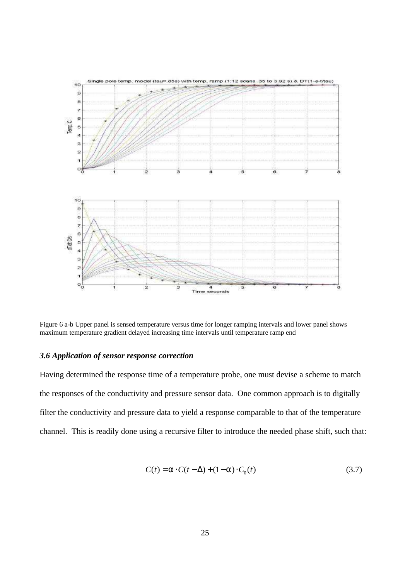

Figure 6 a-b Upper panel is sensed temperature versus time for longer ramping intervals and lower panel shows maximum temperature gradient delayed increasing time intervals until temperature ramp end

#### *3.6 Application of sensor response correction*

Having determined the response time of a temperature probe, one must devise a scheme to match the responses of the conductivity and pressure sensor data. One common approach is to digitally filter the conductivity and pressure data to yield a response comparable to that of the temperature channel. This is readily done using a recursive filter to introduce the needed phase shift, such that:

$$
C(t) = a \cdot C(t - \Delta) + (1 - a) \cdot C_0(t)
$$
\n(3.7)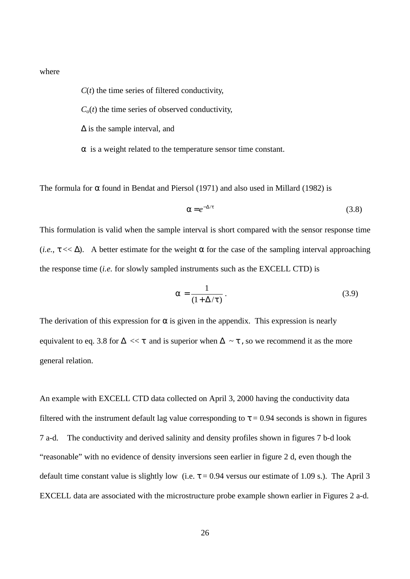where

 $C(t)$  the time series of filtered conductivity,

 $C<sub>o</sub>(t)$  the time series of observed conductivity,

 $\Delta$  is the sample interval, and

*a* is a weight related to the temperature sensor time constant.

The formula for *a* found in Bendat and Piersol (1971) and also used in Millard (1982) is

$$
a = e^{-\Delta/t} \tag{3.8}
$$

This formulation is valid when the sample interval is short compared with the sensor response time (*i.e.*,  $t \ll \Delta$ ). A better estimate for the weight a for the case of the sampling interval approaching the response time (*i.e.* for slowly sampled instruments such as the EXCELL CTD) is

$$
a = \frac{1}{(1 + \Delta/t)}.
$$
\n(3.9)

The derivation of this expression for *a* is given in the appendix. This expression is nearly equivalent to eq. 3.8 for  $\Delta \ll t$  and is superior when  $\Delta \sim t$ , so we recommend it as the more general relation.

An example with EXCELL CTD data collected on April 3, 2000 having the conductivity data filtered with the instrument default lag value corresponding to  $t = 0.94$  seconds is shown in figures 7 a-d. The conductivity and derived salinity and density profiles shown in figures 7 b-d look "reasonable" with no evidence of density inversions seen earlier in figure 2 d, even though the default time constant value is slightly low (i.e.  $t = 0.94$  versus our estimate of 1.09 s.). The April 3 EXCELL data are associated with the microstructure probe example shown earlier in Figures 2 a-d.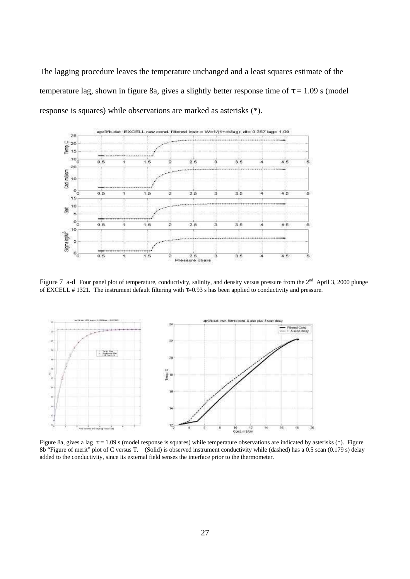The lagging procedure leaves the temperature unchanged and a least squares estimate of the temperature lag, shown in figure 8a, gives a slightly better response time of  $t = 1.09$  s (model response is squares) while observations are marked as asterisks (\*).



Figure 7 a-d Four panel plot of temperature, conductivity, salinity, and density versus pressure from the  $2<sup>nd</sup>$  April 3, 2000 plunge of EXCELL # 1321. The instrument default filtering with *t*=0.93 s has been applied to conductivity and pressure.



Figure 8a, gives a lag *t* = 1.09 s (model response is squares) while temperature observations are indicated by asterisks (\*). Figure 8b "Figure of merit" plot of C versus T. (Solid) is observed instrument conductivity while (dashed) has a 0.5 scan (0.179 s) delay added to the conductivity, since its external field senses the interface prior to the thermometer.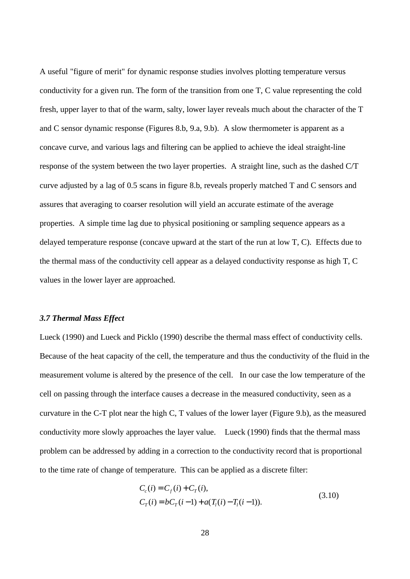A useful "figure of merit" for dynamic response studies involves plotting temperature versus conductivity for a given run. The form of the transition from one T, C value representing the cold fresh, upper layer to that of the warm, salty, lower layer reveals much about the character of the T and C sensor dynamic response (Figures 8.b, 9.a, 9.b). A slow thermometer is apparent as a concave curve, and various lags and filtering can be applied to achieve the ideal straight-line response of the system between the two layer properties. A straight line, such as the dashed C/T curve adjusted by a lag of 0.5 scans in figure 8.b, reveals properly matched T and C sensors and assures that averaging to coarser resolution will yield an accurate estimate of the average properties. A simple time lag due to physical positioning or sampling sequence appears as a delayed temperature response (concave upward at the start of the run at low T, C). Effects due to the thermal mass of the conductivity cell appear as a delayed conductivity response as high T, C values in the lower layer are approached.

#### *3.7 Thermal Mass Effect*

Lueck (1990) and Lueck and Picklo (1990) describe the thermal mass effect of conductivity cells. Because of the heat capacity of the cell, the temperature and thus the conductivity of the fluid in the measurement volume is altered by the presence of the cell. In our case the low temperature of the cell on passing through the interface causes a decrease in the measured conductivity, seen as a curvature in the C-T plot near the high C, T values of the lower layer (Figure 9.b), as the measured conductivity more slowly approaches the layer value. Lueck (1990) finds that the thermal mass problem can be addressed by adding in a correction to the conductivity record that is proportional to the time rate of change of temperature. This can be applied as a discrete filter:

$$
C_c(i) = C_f(i) + C_T(i),
$$
  
\n
$$
C_T(i) = bC_T(i-1) + a(T_l(i) - T_l(i-1)).
$$
\n(3.10)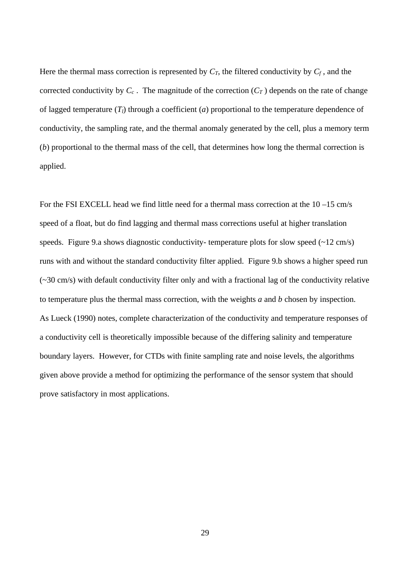Here the thermal mass correction is represented by  $C_T$ , the filtered conductivity by  $C_f$ , and the corrected conductivity by  $C_c$ . The magnitude of the correction  $(C_T)$  depends on the rate of change of lagged temperature (*Tl*) through a coefficient (*a*) proportional to the temperature dependence of conductivity, the sampling rate, and the thermal anomaly generated by the cell, plus a memory term (*b*) proportional to the thermal mass of the cell, that determines how long the thermal correction is applied.

For the FSI EXCELL head we find little need for a thermal mass correction at the 10 –15 cm/s speed of a float, but do find lagging and thermal mass corrections useful at higher translation speeds. Figure 9.a shows diagnostic conductivity- temperature plots for slow speed  $(\sim 12 \text{ cm/s})$ runs with and without the standard conductivity filter applied. Figure 9.b shows a higher speed run (~30 cm/s) with default conductivity filter only and with a fractional lag of the conductivity relative to temperature plus the thermal mass correction, with the weights *a* and *b* chosen by inspection. As Lueck (1990) notes, complete characterization of the conductivity and temperature responses of a conductivity cell is theoretically impossible because of the differing salinity and temperature boundary layers. However, for CTDs with finite sampling rate and noise levels, the algorithms given above provide a method for optimizing the performance of the sensor system that should prove satisfactory in most applications.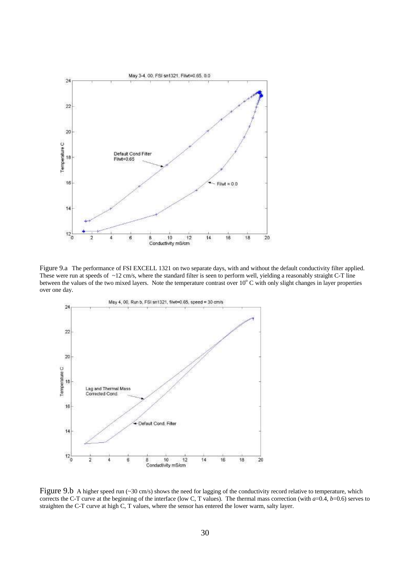

Figure 9.a The performance of FSI EXCELL 1321 on two separate days, with and without the default conductivity filter applied. These were run at speeds of  $\sim$ 12 cm/s, where the standard filter is seen to perform well, yielding a reasonably straight C-T line between the values of the two mixed layers. Note the temperature contrast over  $10^{\circ}$  C with only slight changes in layer properties over one day.



Figure 9.b A higher speed run (~30 cm/s) shows the need for lagging of the conductivity record relative to temperature, which corrects the C-T curve at the beginning of the interface (low C, T values). The thermal mass correction (with *a*=0.4, *b*=0.6) serves to straighten the C-T curve at high C, T values, where the sensor has entered the lower warm, salty layer.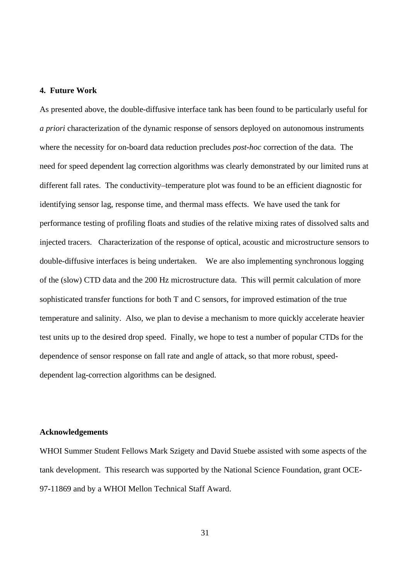#### **4. Future Work**

As presented above, the double-diffusive interface tank has been found to be particularly useful for *a priori* characterization of the dynamic response of sensors deployed on autonomous instruments where the necessity for on-board data reduction precludes *post-hoc* correction of the data. The need for speed dependent lag correction algorithms was clearly demonstrated by our limited runs at different fall rates. The conductivity–temperature plot was found to be an efficient diagnostic for identifying sensor lag, response time, and thermal mass effects. We have used the tank for performance testing of profiling floats and studies of the relative mixing rates of dissolved salts and injected tracers. Characterization of the response of optical, acoustic and microstructure sensors to double-diffusive interfaces is being undertaken. We are also implementing synchronous logging of the (slow) CTD data and the 200 Hz microstructure data. This will permit calculation of more sophisticated transfer functions for both T and C sensors, for improved estimation of the true temperature and salinity. Also, we plan to devise a mechanism to more quickly accelerate heavier test units up to the desired drop speed. Finally, we hope to test a number of popular CTDs for the dependence of sensor response on fall rate and angle of attack, so that more robust, speeddependent lag-correction algorithms can be designed.

## **Acknowledgements**

WHOI Summer Student Fellows Mark Szigety and David Stuebe assisted with some aspects of the tank development. This research was supported by the National Science Foundation, grant OCE-97-11869 and by a WHOI Mellon Technical Staff Award.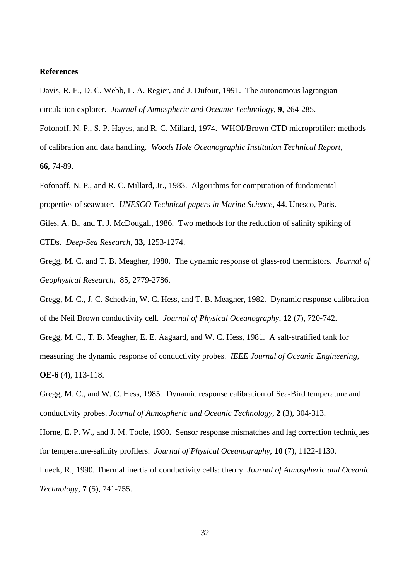#### **References**

Davis, R. E., D. C. Webb, L. A. Regier, and J. Dufour, 1991. The autonomous lagrangian circulation explorer. *Journal of Atmospheric and Oceanic Technology*, **9**, 264-285.

Fofonoff, N. P., S. P. Hayes, and R. C. Millard, 1974. WHOI/Brown CTD microprofiler: methods of calibration and data handling. *Woods Hole Oceanographic Institution Technical Report*, **66**, 74-89.

Fofonoff, N. P., and R. C. Millard, Jr., 1983. Algorithms for computation of fundamental properties of seawater. *UNESCO Technical papers in Marine Science*, **44**. Unesco, Paris. Giles, A. B., and T. J. McDougall, 1986. Two methods for the reduction of salinity spiking of

CTDs. *Deep-Sea Research*, **33**, 1253-1274.

Gregg, M. C. and T. B. Meagher, 1980. The dynamic response of glass-rod thermistors. *Journal of Geophysical Research*, 85, 2779-2786.

Gregg, M. C., J. C. Schedvin, W. C. Hess, and T. B. Meagher, 1982. Dynamic response calibration of the Neil Brown conductivity cell. *Journal of Physical Oceanography*, **12** (7), 720-742.

Gregg, M. C., T. B. Meagher, E. E. Aagaard, and W. C. Hess, 1981. A salt-stratified tank for measuring the dynamic response of conductivity probes. *IEEE Journal of Oceanic Engineering*, **OE-6** (4), 113-118.

Gregg, M. C., and W. C. Hess, 1985. Dynamic response calibration of Sea-Bird temperature and conductivity probes. *Journal of Atmospheric and Oceanic Technology*, **2** (3), 304-313.

Horne, E. P. W., and J. M. Toole, 1980. Sensor response mismatches and lag correction techniques for temperature-salinity profilers. *Journal of Physical Oceanography*, **10** (7), 1122-1130.

Lueck, R., 1990. Thermal inertia of conductivity cells: theory. *Journal of Atmospheric and Oceanic Technology*, **7** (5), 741-755.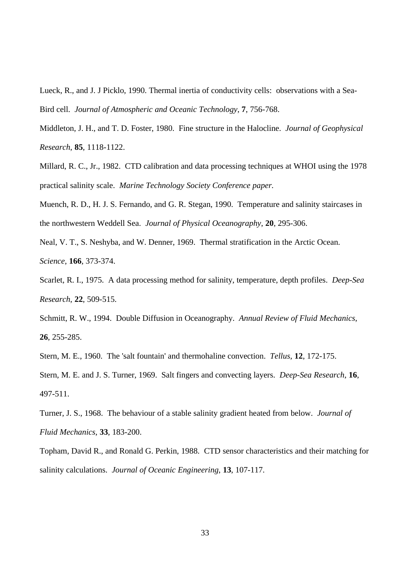Lueck, R., and J. J Picklo, 1990. Thermal inertia of conductivity cells: observations with a Sea-Bird cell. *Journal of Atmospheric and Oceanic Technology*, **7**, 756-768.

Middleton, J. H., and T. D. Foster, 1980. Fine structure in the Halocline. *Journal of Geophysical Research*, **85**, 1118-1122.

Millard, R. C., Jr., 1982. CTD calibration and data processing techniques at WHOI using the 1978 practical salinity scale. *Marine Technology Society Conference paper.*

Muench, R. D., H. J. S. Fernando, and G. R. Stegan, 1990. Temperature and salinity staircases in the northwestern Weddell Sea. *Journal of Physical Oceanography*, **20**, 295-306.

Neal, V. T., S. Neshyba, and W. Denner, 1969. Thermal stratification in the Arctic Ocean. *Science*, **166**, 373-374.

Scarlet, R. I., 1975. A data processing method for salinity, temperature, depth profiles. *Deep-Sea Research*, **22**, 509-515.

Schmitt, R. W., 1994. Double Diffusion in Oceanography. *Annual Review of Fluid Mechanics*, **26**, 255-285.

Stern, M. E., 1960. The 'salt fountain' and thermohaline convection. *Tellus*, **12**, 172-175.

Stern, M. E. and J. S. Turner, 1969. Salt fingers and convecting layers. *Deep-Sea Research*, **16**, 497-511.

Turner, J. S., 1968. The behaviour of a stable salinity gradient heated from below. *Journal of Fluid Mechanics*, **33**, 183-200.

Topham, David R., and Ronald G. Perkin, 1988. CTD sensor characteristics and their matching for salinity calculations. *Journal of Oceanic Engineering*, **13**, 107-117.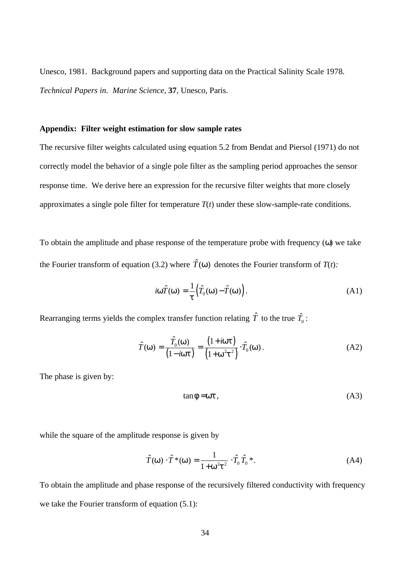Unesco, 1981. Background papers and supporting data on the Practical Salinity Scale 1978. *Technical Papers in*. *Marine Science*, **37**, Unesco, Paris.

# **Appendix: Filter weight estimation for slow sample rates**

The recursive filter weights calculated using equation 5.2 from Bendat and Piersol (1971) do not correctly model the behavior of a single pole filter as the sampling period approaches the sensor response time. We derive here an expression for the recursive filter weights that more closely approximates a single pole filter for temperature *T*(*t*) under these slow-sample-rate conditions.

To obtain the amplitude and phase response of the temperature probe with frequency (*w*) we take the Fourier transform of equation (3.2) where  $\hat{T}(w)$  denotes the Fourier transform of  $T(t)$ :

$$
i\mathbf{w}\hat{T}(\mathbf{w}) = \frac{1}{t} \Big( \hat{T}_0(\mathbf{w}) - \hat{T}(\mathbf{w}) \Big). \tag{A1}
$$

Rearranging terms yields the complex transfer function relating  $\hat{T}$  to the true  $\hat{T_{\text{o}}}$  :

$$
\hat{T}(w) = \frac{\hat{T}_0(w)}{(1 - iwt)} = \frac{(1 + iwt)}{(1 + w^2t^2)} \cdot \hat{T}_0(w).
$$
\n(A2)

The phase is given by:

$$
\tan f = 40t , \tag{A3}
$$

while the square of the amplitude response is given by

$$
\hat{T}(w) \cdot \hat{T}^*(w) = \frac{1}{1 + w^2 t^2} \cdot \hat{T}_0 \hat{T}_0^*.
$$
 (A4)

To obtain the amplitude and phase response of the recursively filtered conductivity with frequency we take the Fourier transform of equation (5.1):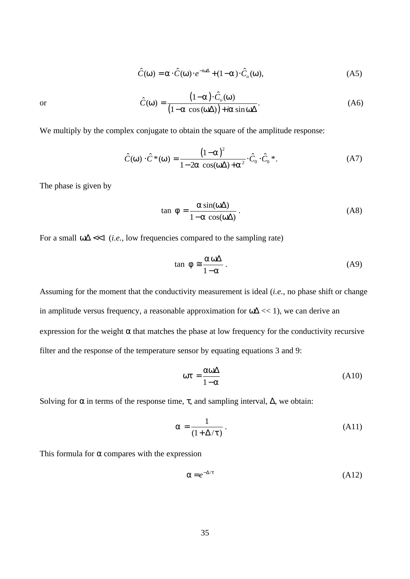$$
\hat{C}(\mathsf{W}) = \mathsf{a} \cdot \hat{C}(\mathsf{W}) \cdot e^{-i\mathsf{W}\Delta} + (1 - \mathsf{a}) \cdot \hat{C}_o(\mathsf{W}),\tag{A5}
$$

 $(1-a)$  $(1-a \cos(w\Delta))$  $\hat{C}(\mathsf{w}) = \frac{(1-\mathsf{a}) \cdot \hat{C}_{o}(\mathsf{w})}{(1-\mathsf{a}) \cdot \hat{C}_{o}(\mathsf{w})}$ .  $1-a \cos(\omega \Delta) + a \sin$  $\hat{C}(\mathsf{W}) = \frac{(1-\mathsf{a})\cdot\hat{C}_o}{(1-\mathsf{a})\cdot\hat{C}_o}$ *i a w w* a  $cos(w \Delta)$ ) + *a*  $sinw$ −a )· =  $-a \cos(w\Delta)$  +  $\dot{a} \sin(w\Delta)$ (A6)

or

We multiply by the complex conjugate to obtain the square of the amplitude response:

$$
\hat{C}(w) \cdot \hat{C}^*(w) = \frac{(1-a)^2}{1-2a \cos(w\Delta) + a^2} \cdot \hat{C}_0 \cdot \hat{C}_0^*.
$$
 (A7)

The phase is given by

$$
\tan f = \frac{a \sin(\omega \Delta)}{1 - a \cos(\omega \Delta)}.
$$
 (A8)

For a small *w*Δ <<1 (*i.e.*, low frequencies compared to the sampling rate)

$$
\tan f \approx \frac{a \,\text{w}\,\Delta}{1-\text{a}}\,. \tag{A9}
$$

Assuming for the moment that the conductivity measurement is ideal (*i.e.*, no phase shift or change in amplitude versus frequency, a reasonable approximation for *w*Δ << 1), we can derive an expression for the weight  $\alpha$  that matches the phase at low frequency for the conductivity recursive filter and the response of the temperature sensor by equating equations 3 and 9:

$$
wt = \frac{aw\Delta}{1-a} \tag{A10}
$$

Solving for *a* in terms of the response time, *t*, and sampling interval, Δ, we obtain:

$$
a = \frac{1}{(1 + \Delta/t)}.
$$
\n(A11)

This formula for  $\alpha$  compares with the expression

$$
a = e^{-\Delta/t} \tag{A12}
$$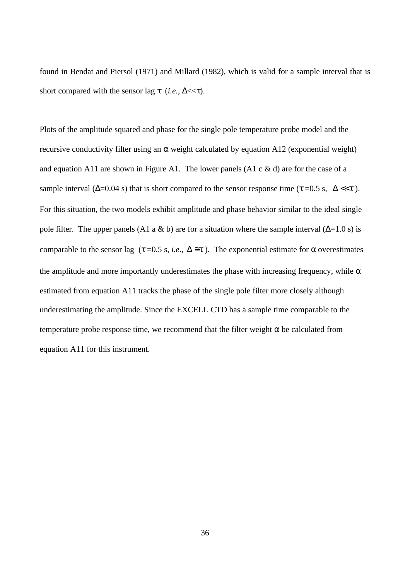found in Bendat and Piersol (1971) and Millard (1982), which is valid for a sample interval that is short compared with the sensor lag  $t$  (*i.e.*,  $\Delta \ll t$ ).

Plots of the amplitude squared and phase for the single pole temperature probe model and the recursive conductivity filter using an *a* weight calculated by equation A12 (exponential weight) and equation A11 are shown in Figure A1. The lower panels (A1 c  $\&$  d) are for the case of a sample interval  $(\Delta=0.04 \text{ s})$  that is short compared to the sensor response time ( $t = 0.5 \text{ s}$ ,  $\Delta \ll t$ ). For this situation, the two models exhibit amplitude and phase behavior similar to the ideal single pole filter. The upper panels (A1 a & b) are for a situation where the sample interval ( $\Delta$ =1.0 s) is comparable to the sensor lag ( $t = 0.5$  s, *i.e.*,  $\Delta \cong t$ ). The exponential estimate for a overestimates the amplitude and more importantly underestimates the phase with increasing frequency, while *a* estimated from equation A11 tracks the phase of the single pole filter more closely although underestimating the amplitude. Since the EXCELL CTD has a sample time comparable to the temperature probe response time, we recommend that the filter weight *a* be calculated from equation A11 for this instrument.